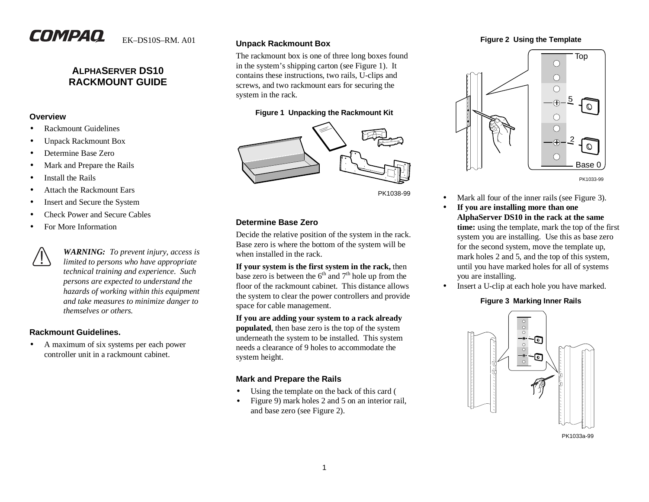# **COMPAQ**

EK–DS10S–RM. A01

## **ALPHASERVER DS10RACKMOUNT GUIDE**

#### **Overview**

- •Rackmount Guidelines
- •Unpack Rackmount Box
- •Determine Base Zero
- •Mark and Prepare the Rails
- •Install the Rails
- •Attach the Rackmount Ears
- •Insert and Secure the System
- •Check Power and Secure Cables
- •For More Information

*WARNING: To prevent injury, access is limited to persons who have appropriate technical training and experience. Such persons are expected to understand the hazards of working within this equipment and take measures to minimize danger to themselves or others.*

## **Rackmount Guidelines.**

 $\bullet$  A maximum of six systems per each power controller unit in a rackmount cabinet.

#### **Unpack Rackmount Box**

The rackmount box is one of three long boxes found in the system's shipping carton (see Figure 1). It contains these instructions, two rails, U-clips and screws, and two rackmount ears for securing the system in the rack.

## **Figure 1 Unpacking the Rackmount Kit**



PK1038-99

## **Determine Base Zero**

Decide the relative position of the system in the rack. Base zero is where the bottom of the system will be when installed in the rack.

**If your system is the first system in the rack,** then base zero is between the  $6<sup>th</sup>$  and  $7<sup>th</sup>$  hole up from the floor of the rackmount cabinet. This distance allows the system to clear the power controllers and provide space for cable management.

**If you are adding your system to a rack already populated**, then base zero is the top of the system underneath the system to be installed. This system needs a clearance of 9 holes to accommodate thesystem height.

## **Mark and Prepare the Rails**

- •Using the template on the back of this card (
- • Figure 9) mark holes 2 and 5 on an interior rail, and base zero (see Figure 2).

#### **Figure 2 Using the Template**



PK1033-99

- •Mark all four of the inner rails (see Figure 3).
- • **If you are installing more than one AlphaServer DS10 in the rack at the same time:** using the template, mark the top of the first system you are installing. Use this as base zero for the second system, move the template up, mark holes 2 and 5, and the top of this system, until you have marked holes for all of systems you are installing.
- $\bullet$ Insert a U-clip at each hole you have marked.

#### **Figure 3 Marking Inner Rails**



PK1033a-99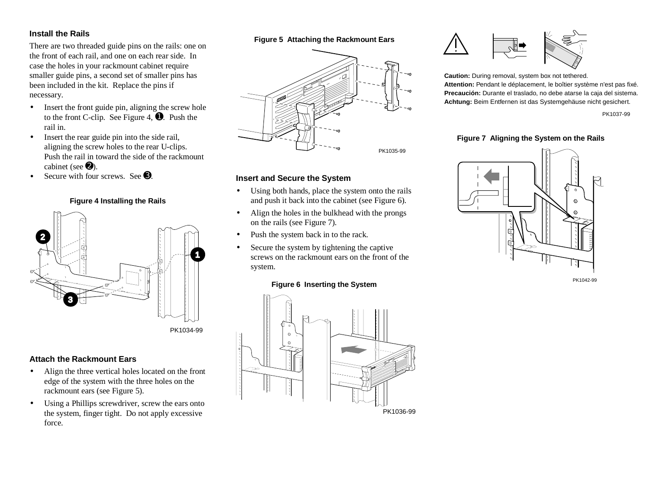## **Install the Rails**

There are two threaded guide pins on the rails: one on the front of each rail, and one on each rear side. In case the holes in your rackmount cabinet require smaller guide pins, a second set of smaller pins has been included in the kit. Replace the pins if necessary.

- • Insert the front guide pin, aligning the screw hole to the front C-clip. See Figure 4,  $\overline{\bullet}$ . Push the rail in.
- • Insert the rear guide pin into the side rail, aligning the screw holes to the rear U-clips. Push the rail in toward the side of the rackmount cabinet (see  $\mathbf{\Theta}$ ).
- •Secure with four screws. See  $\Theta$ .

## **Figure 4 Installing the Rails**



## **Attach the Rackmount Ears**

- $\bullet$  Align the three vertical holes located on the front edge of the system with the three holes on the rackmount ears (see Figure 5).
- $\bullet$  Using a Phillips screwdriver, screw the ears onto the system, finger tight. Do not apply excessive force.

#### **Figure 5 Attaching the Rackmount Ears**



#### **Insert and Secure the System**

- Using both hands, place the system onto the rails and push it back into the cabinet (see Figure 6).
- Align the holes in the bulkhead with the prongs on the rails (see Figure 7).
- •Push the system back in to the rack.
- • Secure the system by tightening the captive screws on the rackmount ears on the front of thesystem.

#### **Figure 6 Inserting the System**





**Caution:** During removal, system box not tethered. **Attention:** Pendant le déplacement, le boîtier système n'est pas fixé. **Precaución:** Durante el traslado, no debe atarse la caja del sistema. **Achtung:** Beim Entfernen ist das Systemgehäuse nicht gesichert.

PK1037-99

#### **Figure 7 Aligning the System on the Rails**



PK1042-99